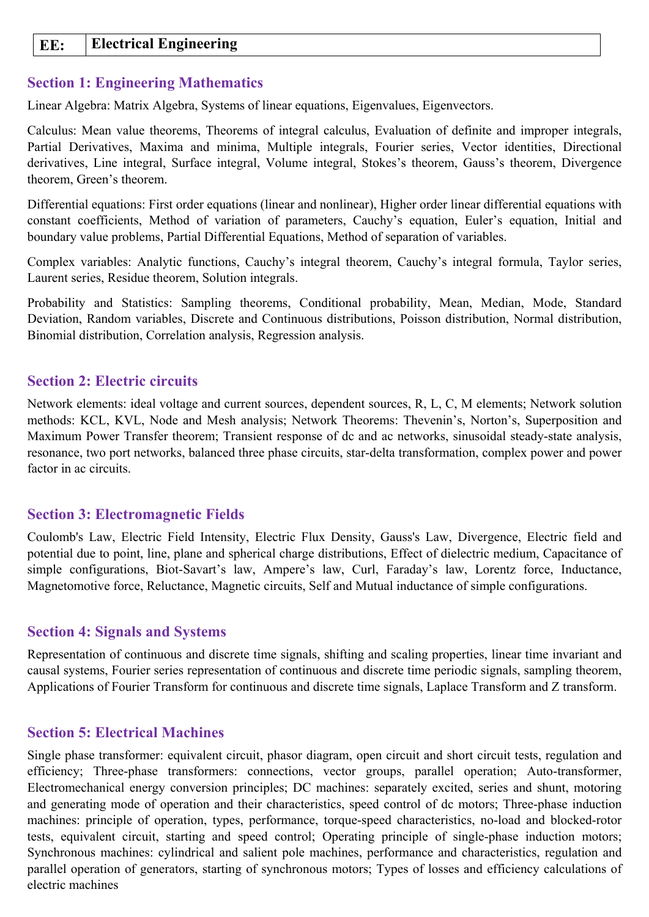### **EE: Electrical Engineering**

#### **Section 1: Engineering Mathematics**

Linear Algebra: Matrix Algebra, Systems of linear equations, Eigenvalues, Eigenvectors.

Calculus: Mean value theorems, Theorems of integral calculus, Evaluation of definite and improper integrals, Partial Derivatives, Maxima and minima, Multiple integrals, Fourier series, Vector identities, Directional derivatives, Line integral, Surface integral, Volume integral, Stokes's theorem, Gauss's theorem, Divergence theorem, Green's theorem.

Differential equations: First order equations (linear and nonlinear), Higher order linear differential equations with constant coefficients, Method of variation of parameters, Cauchy's equation, Euler's equation, Initial and boundary value problems, Partial Differential Equations, Method of separation of variables.

Complex variables: Analytic functions, Cauchy's integral theorem, Cauchy's integral formula, Taylor series, Laurent series, Residue theorem, Solution integrals.

Probability and Statistics: Sampling theorems, Conditional probability, Mean, Median, Mode, Standard Deviation, Random variables, Discrete and Continuous distributions, Poisson distribution, Normal distribution, Binomial distribution, Correlation analysis, Regression analysis.

#### **Section 2: Electric circuits**

Network elements: ideal voltage and current sources, dependent sources, R, L, C, M elements; Network solution methods: KCL, KVL, Node and Mesh analysis; Network Theorems: Thevenin's, Norton's, Superposition and Maximum Power Transfer theorem; Transient response of dc and ac networks, sinusoidal steady-state analysis, resonance, two port networks, balanced three phase circuits, star-delta transformation, complex power and power factor in ac circuits.

#### **Section 3: Electromagnetic Fields**

Coulomb's Law, Electric Field Intensity, Electric Flux Density, Gauss's Law, Divergence, Electric field and potential due to point, line, plane and spherical charge distributions, Effect of dielectric medium, Capacitance of simple configurations, Biot-Savart's law, Ampere's law, Curl, Faraday's law, Lorentz force, Inductance, Magnetomotive force, Reluctance, Magnetic circuits, Self and Mutual inductance of simple configurations.

#### **Section 4: Signals and Systems**

Representation of continuous and discrete time signals, shifting and scaling properties, linear time invariant and causal systems, Fourier series representation of continuous and discrete time periodic signals, sampling theorem, Applications of Fourier Transform for continuous and discrete time signals, Laplace Transform and Z transform.

#### **Section 5: Electrical Machines**

Single phase transformer: equivalent circuit, phasor diagram, open circuit and short circuit tests, regulation and efficiency; Three-phase transformers: connections, vector groups, parallel operation; Auto-transformer, Electromechanical energy conversion principles; DC machines: separately excited, series and shunt, motoring and generating mode of operation and their characteristics, speed control of dc motors; Three-phase induction machines: principle of operation, types, performance, torque-speed characteristics, no-load and blocked-rotor tests, equivalent circuit, starting and speed control; Operating principle of single-phase induction motors; Synchronous machines: cylindrical and salient pole machines, performance and characteristics, regulation and parallel operation of generators, starting of synchronous motors; Types of losses and efficiency calculations of electric machines